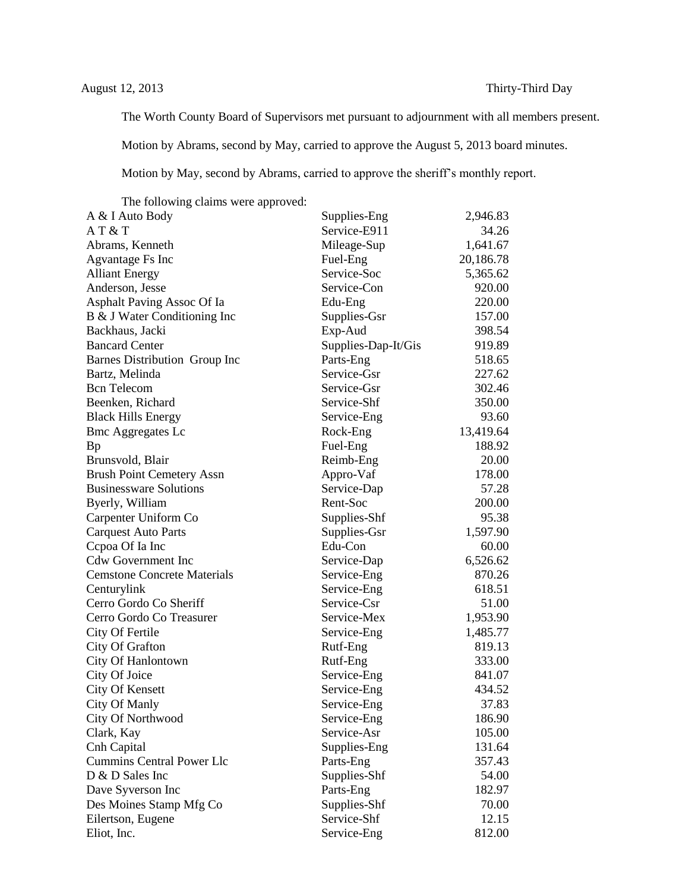The Worth County Board of Supervisors met pursuant to adjournment with all members present.

Motion by Abrams, second by May, carried to approve the August 5, 2013 board minutes.

Motion by May, second by Abrams, carried to approve the sheriff's monthly report.

The following claims were approved:

| A & I Auto Body                    | Supplies-Eng        | 2,946.83  |
|------------------------------------|---------------------|-----------|
| AT&T                               | Service-E911        | 34.26     |
| Abrams, Kenneth                    | Mileage-Sup         | 1,641.67  |
| Agvantage Fs Inc                   | Fuel-Eng            | 20,186.78 |
| <b>Alliant Energy</b>              | Service-Soc         | 5,365.62  |
| Anderson, Jesse                    | Service-Con         | 920.00    |
| Asphalt Paving Assoc Of Ia         | Edu-Eng             | 220.00    |
| B & J Water Conditioning Inc       | Supplies-Gsr        | 157.00    |
| Backhaus, Jacki                    | Exp-Aud             | 398.54    |
| <b>Bancard Center</b>              | Supplies-Dap-It/Gis | 919.89    |
| Barnes Distribution Group Inc      | Parts-Eng           | 518.65    |
| Bartz, Melinda                     | Service-Gsr         | 227.62    |
| <b>Bcn</b> Telecom                 | Service-Gsr         | 302.46    |
| Beenken, Richard                   | Service-Shf         | 350.00    |
| <b>Black Hills Energy</b>          | Service-Eng         | 93.60     |
| <b>Bmc Aggregates Lc</b>           | Rock-Eng            | 13,419.64 |
| Bp                                 | Fuel-Eng            | 188.92    |
| Brunsvold, Blair                   | Reimb-Eng           | 20.00     |
| <b>Brush Point Cemetery Assn</b>   | Appro-Vaf           | 178.00    |
| <b>Businessware Solutions</b>      | Service-Dap         | 57.28     |
| Byerly, William                    | Rent-Soc            | 200.00    |
| Carpenter Uniform Co               | Supplies-Shf        | 95.38     |
| <b>Carquest Auto Parts</b>         | Supplies-Gsr        | 1,597.90  |
| Cepoa Of Ia Inc                    | Edu-Con             | 60.00     |
| <b>Cdw Government Inc</b>          | Service-Dap         | 6,526.62  |
| <b>Cemstone Concrete Materials</b> | Service-Eng         | 870.26    |
| Centurylink                        | Service-Eng         | 618.51    |
| Cerro Gordo Co Sheriff             | Service-Csr         | 51.00     |
| Cerro Gordo Co Treasurer           | Service-Mex         | 1,953.90  |
| City Of Fertile                    | Service-Eng         | 1,485.77  |
| City Of Grafton                    | Rutf-Eng            | 819.13    |
| City Of Hanlontown                 | Rutf-Eng            | 333.00    |
| City Of Joice                      | Service-Eng         | 841.07    |
| City Of Kensett                    | Service-Eng         | 434.52    |
| City Of Manly                      | Service-Eng         | 37.83     |
| City Of Northwood                  | Service-Eng         | 186.90    |
| Clark, Kay                         | Service-Asr         | 105.00    |
| Cnh Capital                        | Supplies-Eng        | 131.64    |
| <b>Cummins Central Power Llc</b>   | Parts-Eng           | 357.43    |
| D & D Sales Inc                    | Supplies-Shf        | 54.00     |
| Dave Syverson Inc                  | Parts-Eng           | 182.97    |
| Des Moines Stamp Mfg Co            | Supplies-Shf        | 70.00     |
| Eilertson, Eugene                  | Service-Shf         | 12.15     |
| Eliot, Inc.                        | Service-Eng         | 812.00    |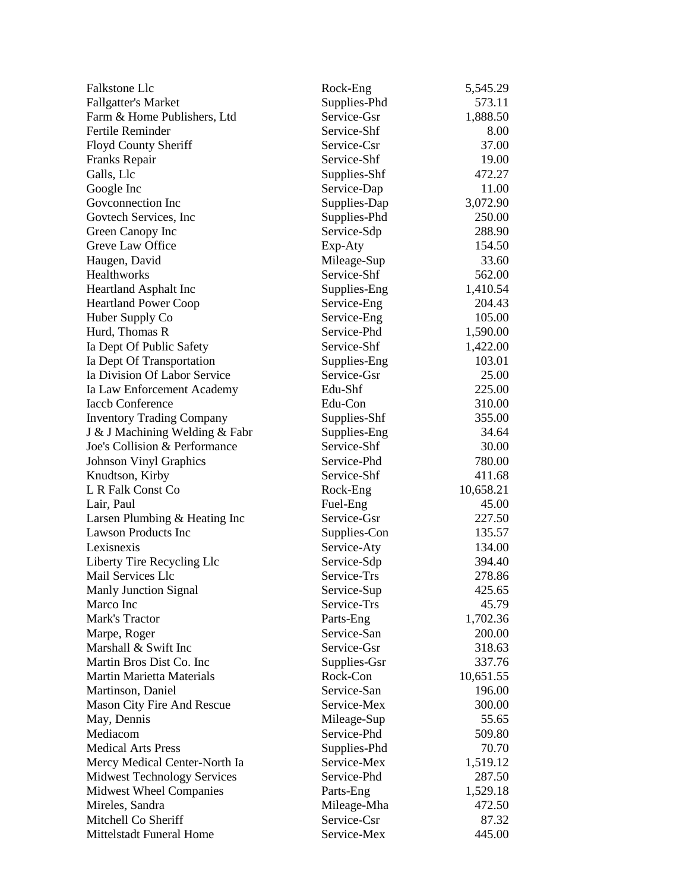| Falkstone Llc                                         | Rock-Eng     | 5,545.29  |
|-------------------------------------------------------|--------------|-----------|
| <b>Fallgatter's Market</b>                            | Supplies-Phd | 573.11    |
| Farm & Home Publishers, Ltd                           | Service-Gsr  | 1,888.50  |
| <b>Fertile Reminder</b>                               | Service-Shf  | 8.00      |
| Floyd County Sheriff                                  | Service-Csr  | 37.00     |
| Franks Repair                                         | Service-Shf  | 19.00     |
| Galls, Llc                                            | Supplies-Shf | 472.27    |
| Google Inc                                            | Service-Dap  | 11.00     |
| Goveonnection Inc                                     | Supplies-Dap | 3,072.90  |
| Govtech Services, Inc.                                | Supplies-Phd | 250.00    |
| Green Canopy Inc                                      | Service-Sdp  | 288.90    |
| Greve Law Office                                      | Exp-Aty      | 154.50    |
| Haugen, David                                         | Mileage-Sup  | 33.60     |
| Healthworks                                           | Service-Shf  | 562.00    |
| Heartland Asphalt Inc                                 | Supplies-Eng | 1,410.54  |
| <b>Heartland Power Coop</b>                           | Service-Eng  | 204.43    |
| Huber Supply Co                                       | Service-Eng  | 105.00    |
| Hurd, Thomas R                                        | Service-Phd  | 1,590.00  |
| Ia Dept Of Public Safety                              | Service-Shf  | 1,422.00  |
| Ia Dept Of Transportation                             | Supplies-Eng | 103.01    |
| Ia Division Of Labor Service                          | Service-Gsr  | 25.00     |
|                                                       | Edu-Shf      | 225.00    |
| Ia Law Enforcement Academy<br><b>Iaccb Conference</b> | Edu-Con      | 310.00    |
|                                                       |              |           |
| <b>Inventory Trading Company</b>                      | Supplies-Shf | 355.00    |
| J & J Machining Welding & Fabr                        | Supplies-Eng | 34.64     |
| Joe's Collision & Performance                         | Service-Shf  | 30.00     |
| <b>Johnson Vinyl Graphics</b>                         | Service-Phd  | 780.00    |
| Knudtson, Kirby                                       | Service-Shf  | 411.68    |
| L R Falk Const Co                                     | Rock-Eng     | 10,658.21 |
| Lair, Paul                                            | Fuel-Eng     | 45.00     |
| Larsen Plumbing & Heating Inc                         | Service-Gsr  | 227.50    |
| <b>Lawson Products Inc</b>                            | Supplies-Con | 135.57    |
| Lexisnexis                                            | Service-Aty  | 134.00    |
| Liberty Tire Recycling Llc                            | Service-Sdp  | 394.40    |
| <b>Mail Services Llc</b>                              | Service-Trs  | 278.86    |
| <b>Manly Junction Signal</b>                          | Service-Sup  | 425.65    |
| Marco Inc                                             | Service-Trs  | 45.79     |
| Mark's Tractor                                        | Parts-Eng    | 1,702.36  |
| Marpe, Roger                                          | Service-San  | 200.00    |
| Marshall & Swift Inc                                  | Service-Gsr  | 318.63    |
| Martin Bros Dist Co. Inc                              | Supplies-Gsr | 337.76    |
| <b>Martin Marietta Materials</b>                      | Rock-Con     | 10,651.55 |
| Martinson, Daniel                                     | Service-San  | 196.00    |
| Mason City Fire And Rescue                            | Service-Mex  | 300.00    |
| May, Dennis                                           | Mileage-Sup  | 55.65     |
| Mediacom                                              | Service-Phd  | 509.80    |
| <b>Medical Arts Press</b>                             | Supplies-Phd | 70.70     |
| Mercy Medical Center-North Ia                         | Service-Mex  | 1,519.12  |
| <b>Midwest Technology Services</b>                    | Service-Phd  | 287.50    |
| <b>Midwest Wheel Companies</b>                        | Parts-Eng    | 1,529.18  |
| Mireles, Sandra                                       | Mileage-Mha  | 472.50    |
| Mitchell Co Sheriff                                   | Service-Csr  | 87.32     |
| Mittelstadt Funeral Home                              | Service-Mex  | 445.00    |